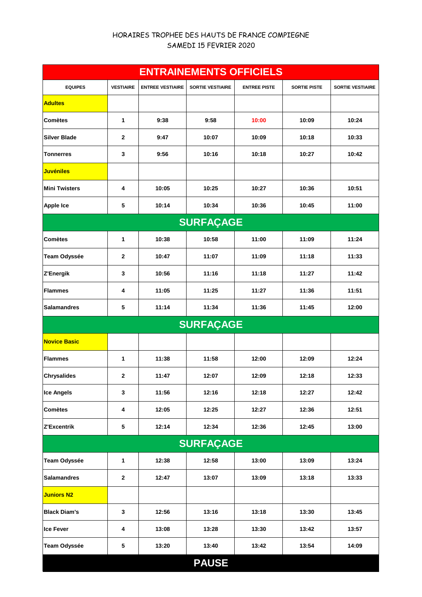## HORAIRES TROPHEE DES HAUTS DE FRANCE COMPIEGNE SAMEDI 15 FEVRIER 2020

| <b>ENTRAINEMENTS OFFICIELS</b> |                  |                         |                         |                     |                     |                         |  |  |
|--------------------------------|------------------|-------------------------|-------------------------|---------------------|---------------------|-------------------------|--|--|
| <b>EQUIPES</b>                 | <b>VESTIAIRE</b> | <b>ENTREE VESTIAIRE</b> | <b>SORTIE VESTIAIRE</b> | <b>ENTREE PISTE</b> | <b>SORTIE PISTE</b> | <b>SORTIE VESTIAIRE</b> |  |  |
| <b>Adultes</b>                 |                  |                         |                         |                     |                     |                         |  |  |
| <b>Comètes</b>                 | 1                | 9:38                    | 9:58                    | 10:00               | 10:09               | 10:24                   |  |  |
| <b>Silver Blade</b>            | 2                | 9:47                    | 10:07                   | 10:09               | 10:18               | 10:33                   |  |  |
| <b>Tonnerres</b>               | 3                | 9:56                    | 10:16                   | 10:18               | 10:27               | 10:42                   |  |  |
| <mark>Juvéniles</mark>         |                  |                         |                         |                     |                     |                         |  |  |
| <b>Mini Twisters</b>           | 4                | 10:05                   | 10:25                   | 10:27               | 10:36               | 10:51                   |  |  |
| <b>Apple Ice</b>               | 5                | 10:14                   | 10:34                   | 10:36               | 10:45               | 11:00                   |  |  |
| <b>SURFAÇAGE</b>               |                  |                         |                         |                     |                     |                         |  |  |
| <b>Comètes</b>                 | 1                | 10:38                   | 10:58                   | 11:00               | 11:09               | 11:24                   |  |  |
| Team Odyssée                   | $\mathbf{2}$     | 10:47                   | 11:07                   | 11:09               | 11:18               | 11:33                   |  |  |
| Z'Energik                      | 3                | 10:56                   | 11:16                   | 11:18               | 11:27               | 11:42                   |  |  |
| <b>Flammes</b>                 | 4                | 11:05                   | 11:25                   | 11:27               | 11:36               | 11:51                   |  |  |
| <b>Salamandres</b>             | 5                | 11:14                   | 11:34                   | 11:36               | 11:45               | 12:00                   |  |  |
|                                |                  |                         | <b>SURFAÇAGE</b>        |                     |                     |                         |  |  |
| <b>Novice Basic</b>            |                  |                         |                         |                     |                     |                         |  |  |
| <b>Flammes</b>                 | 1                | 11:38                   | 11:58                   | 12:00               | 12:09               | 12:24                   |  |  |
| <b>Chrysalides</b>             | 2                | 11:47                   | 12:07                   | 12:09               | 12:18               | 12:33                   |  |  |
| <b>Ice Angels</b>              | 3                | 11:56                   | 12:16                   | 12:18               | 12:27               | 12:42                   |  |  |
| <b>Comètes</b>                 | 4                | 12:05                   | 12:25                   | 12:27               | 12:36               | 12:51                   |  |  |
| Z'Excentrik                    | $\sqrt{5}$       | 12:14                   | 12:34                   | 12:36               | 12:45               | 13:00                   |  |  |
| <b>SURFAÇAGE</b>               |                  |                         |                         |                     |                     |                         |  |  |
| <b>Team Odyssée</b>            | $\mathbf{1}$     | 12:38                   | 12:58                   | 13:00               | 13:09               | 13:24                   |  |  |
| <b>Salamandres</b>             | $\mathbf{2}$     | 12:47                   | 13:07                   | 13:09               | 13:18               | 13:33                   |  |  |
| Juniors N2                     |                  |                         |                         |                     |                     |                         |  |  |
| <b>Black Diam's</b>            | 3                | 12:56                   | 13:16                   | 13:18               | 13:30               | 13:45                   |  |  |
| <b>Ice Fever</b>               | 4                | 13:08                   | 13:28                   | 13:30               | 13:42               | 13:57                   |  |  |
| <b>Team Odyssée</b>            | 5                | 13:20                   | 13:40                   | 13:42               | 13:54               | 14:09                   |  |  |
|                                |                  |                         | <b>PAUSE</b>            |                     |                     |                         |  |  |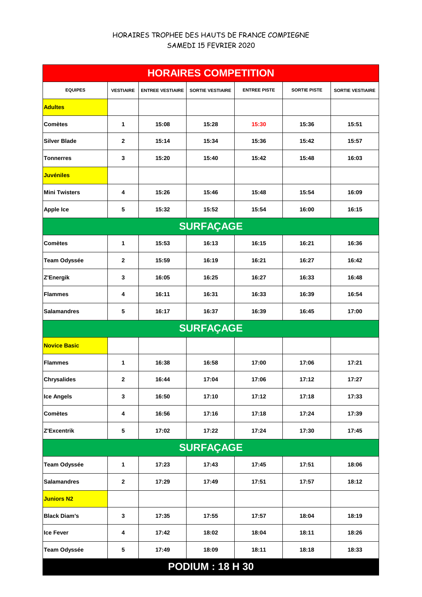## HORAIRES TROPHEE DES HAUTS DE FRANCE COMPIEGNE SAMEDI 15 FEVRIER 2020

| <b>HORAIRES COMPETITION</b> |                  |                         |                         |                     |                     |                         |  |  |
|-----------------------------|------------------|-------------------------|-------------------------|---------------------|---------------------|-------------------------|--|--|
| <b>EQUIPES</b>              | <b>VESTIAIRE</b> | <b>ENTREE VESTIAIRE</b> | <b>SORTIE VESTIAIRE</b> | <b>ENTREE PISTE</b> | <b>SORTIE PISTE</b> | <b>SORTIE VESTIAIRE</b> |  |  |
| <b>Adultes</b>              |                  |                         |                         |                     |                     |                         |  |  |
| <b>Comètes</b>              | 1                | 15:08                   | 15:28                   | 15:30               | 15:36               | 15:51                   |  |  |
| <b>Silver Blade</b>         | $\mathbf{2}$     | 15:14                   | 15:34                   | 15:36               | 15:42               | 15:57                   |  |  |
| <b>Tonnerres</b>            | 3                | 15:20                   | 15:40                   | 15:42               | 15:48               | 16:03                   |  |  |
| <b>Juvéniles</b>            |                  |                         |                         |                     |                     |                         |  |  |
| <b>Mini Twisters</b>        | 4                | 15:26                   | 15:46                   | 15:48               | 15:54               | 16:09                   |  |  |
| <b>Apple Ice</b>            | 5                | 15:32                   | 15:52                   | 15:54               | 16:00               | 16:15                   |  |  |
|                             |                  |                         | <b>SURFAÇAGE</b>        |                     |                     |                         |  |  |
| <b>Comètes</b>              | 1                | 15:53                   | 16:13                   | 16:15               | 16:21               | 16:36                   |  |  |
| <b>Team Odyssée</b>         | 2                | 15:59                   | 16:19                   | 16:21               | 16:27               | 16:42                   |  |  |
| Z'Energik                   | 3                | 16:05                   | 16:25                   | 16:27               | 16:33               | 16:48                   |  |  |
| <b>Flammes</b>              | 4                | 16:11                   | 16:31                   | 16:33               | 16:39               | 16:54                   |  |  |
| <b>Salamandres</b>          | 5                | 16:17                   | 16:37                   | 16:39               | 16:45               | 17:00                   |  |  |
|                             |                  |                         | <b>SURFAÇAGE</b>        |                     |                     |                         |  |  |
| <b>Novice Basic</b>         |                  |                         |                         |                     |                     |                         |  |  |
| <b>Flammes</b>              | 1                | 16:38                   | 16:58                   | 17:00               | 17:06               | 17:21                   |  |  |
| <b>Chrysalides</b>          | 2                | 16:44                   | 17:04                   | 17:06               | 17:12               | 17:27                   |  |  |
| <b>Ice Angels</b>           | 3                | 16:50                   | 17:10                   | 17:12               | 17:18               | 17:33                   |  |  |
| <b>Comètes</b>              | 4                | 16:56                   | 17:16                   | 17:18               | 17:24               | 17:39                   |  |  |
| Z'Excentrik                 | 5                | 17:02                   | 17:22                   | 17:24               | 17:30               | 17:45                   |  |  |
| <b>SURFAÇAGE</b>            |                  |                         |                         |                     |                     |                         |  |  |
| Team Odyssée                | 1                | 17:23                   | 17:43                   | 17:45               | 17:51               | 18:06                   |  |  |
| <b>Salamandres</b>          | $\mathbf{2}$     | 17:29                   | 17:49                   | 17:51               | 17:57               | 18:12                   |  |  |
| <b>Juniors N2</b>           |                  |                         |                         |                     |                     |                         |  |  |
| <b>Black Diam's</b>         | 3                | 17:35                   | 17:55                   | 17:57               | 18:04               | 18:19                   |  |  |
| <b>Ice Fever</b>            | 4                | 17:42                   | 18:02                   | 18:04               | 18:11               | 18:26                   |  |  |
| Team Odyssée                | 5                | 17:49                   | 18:09                   | 18:11               | 18:18               | 18:33                   |  |  |
| <b>PODIUM: 18 H 30</b>      |                  |                         |                         |                     |                     |                         |  |  |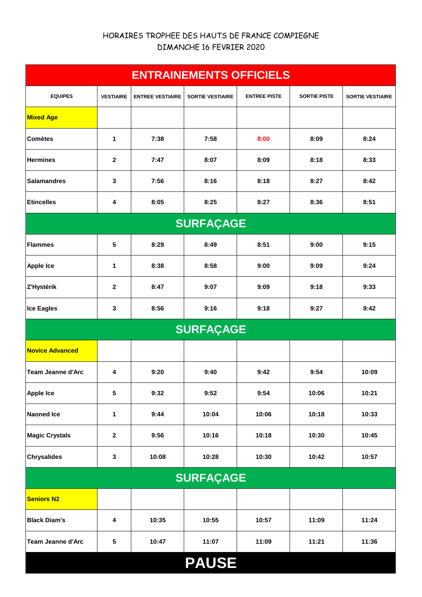## HORAIRES TROPHEE DES HAUTS DE FRANCE COMPIEGNE DIMANCHE 16 FEVRIER 2020

| <b>ENTRAINEMENTS OFFICIELS</b> |                  |                         |                         |                     |                     |                         |  |  |
|--------------------------------|------------------|-------------------------|-------------------------|---------------------|---------------------|-------------------------|--|--|
| <b>EQUIPES</b>                 | <b>VESTIAIRE</b> | <b>ENTREE VESTIAIRE</b> | <b>SORTIE VESTIAIRE</b> | <b>ENTREE PISTE</b> | <b>SORTIE PISTE</b> | <b>SORTIE VESTIAIRE</b> |  |  |
| <b>Mixed Age</b>               |                  |                         |                         |                     |                     |                         |  |  |
| <b>Comètes</b>                 | 1                | 7:38                    | 7:58                    | 8:00                | 8:09                | 8:24                    |  |  |
| <b>Hermines</b>                | $\mathbf{2}$     | 7:47                    | 8:07                    | 8:09                | 8:18                | 8:33                    |  |  |
| <b>Salamandres</b>             | 3                | 7:56                    | 8:16                    | 8:18                | 8:27                | 8:42                    |  |  |
| <b>Etincelles</b>              | 4                | 8:05                    | 8:25                    | 8:27                | 8:36                | 8:51                    |  |  |
|                                | <b>SURFAÇAGE</b> |                         |                         |                     |                     |                         |  |  |
| <b>Flammes</b>                 | 5                | 8:29                    | 8:49                    | 8:51                | 9:00                | 9:15                    |  |  |
| <b>Apple Ice</b>               | 1                | 8:38                    | 8:58                    | 9:00                | 9:09                | 9:24                    |  |  |
| Z'Hystérik                     | $\mathbf{2}$     | 8:47                    | 9:07                    | 9:09                | 9:18                | 9:33                    |  |  |
| <b>Ice Eagles</b>              | 3                | 8:56                    | 9:16                    | 9:18                | 9:27                | 9:42                    |  |  |
|                                |                  |                         | <b>SURFAÇAGE</b>        |                     |                     |                         |  |  |
| <b>Novice Advanced</b>         |                  |                         |                         |                     |                     |                         |  |  |
| <b>Team Jeanne d'Arc</b>       | 4                | 9:20                    | 9:40                    | 9:42                | 9:54                | 10:09                   |  |  |
| <b>Apple Ice</b>               | 5                | 9:32                    | 9:52                    | 9:54                | 10:06               | 10:21                   |  |  |
| <b>Naoned Ice</b>              | 1                | 9:44                    | 10:04                   | 10:06               | 10:18               | 10:33                   |  |  |
| <b>Magic Crystals</b>          | $\mathbf{2}$     | 9:56                    | 10:16                   | 10:18               | 10:30               | 10:45                   |  |  |
| <b>Chrysalides</b>             | $\mathbf 3$      | 10:08                   | 10:28                   | 10:30               | 10:42               | 10:57                   |  |  |
| <b>SURFAÇAGE</b>               |                  |                         |                         |                     |                     |                         |  |  |
| <b>Seniors N2</b>              |                  |                         |                         |                     |                     |                         |  |  |
| <b>Black Diam's</b>            | 4                | 10:35                   | 10:55                   | 10:57               | 11:09               | 11:24                   |  |  |
| <b>Team Jeanne d'Arc</b>       | 5                | 10:47                   | 11:07                   | 11:09               | 11:21               | 11:36                   |  |  |
| <b>PAUSE</b>                   |                  |                         |                         |                     |                     |                         |  |  |